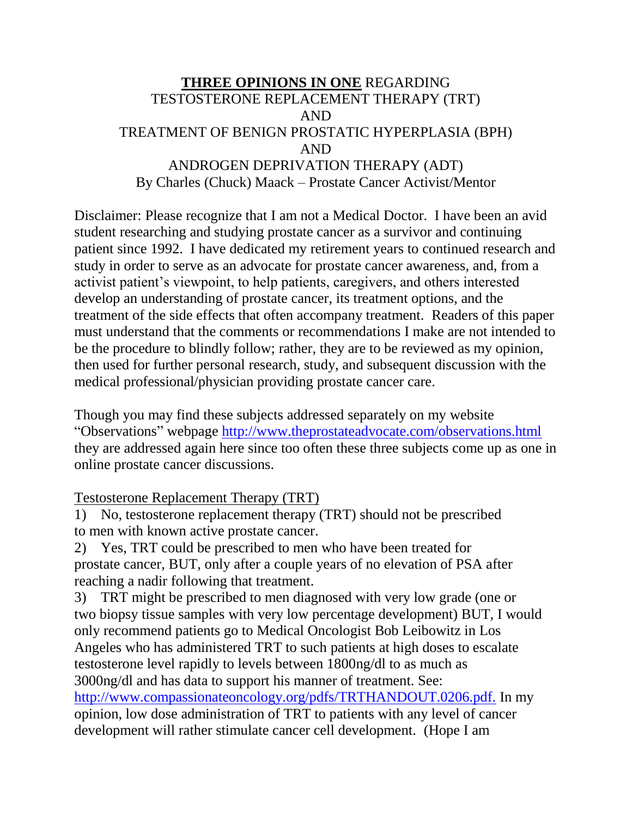## **THREE OPINIONS IN ONE** REGARDING TESTOSTERONE REPLACEMENT THERAPY (TRT) AND TREATMENT OF BENIGN PROSTATIC HYPERPLASIA (BPH) AND ANDROGEN DEPRIVATION THERAPY (ADT) By Charles (Chuck) Maack – Prostate Cancer Activist/Mentor

Disclaimer: Please recognize that I am not a Medical Doctor. I have been an avid student researching and studying prostate cancer as a survivor and continuing patient since 1992. I have dedicated my retirement years to continued research and study in order to serve as an advocate for prostate cancer awareness, and, from a activist patient's viewpoint, to help patients, caregivers, and others interested develop an understanding of prostate cancer, its treatment options, and the treatment of the side effects that often accompany treatment. Readers of this paper must understand that the comments or recommendations I make are not intended to be the procedure to blindly follow; rather, they are to be reviewed as my opinion, then used for further personal research, study, and subsequent discussion with the medical professional/physician providing prostate cancer care.

Though you may find these subjects addressed separately on my website "Observations" webpage<http://www.theprostateadvocate.com/observations.html> they are addressed again here since too often these three subjects come up as one in online prostate cancer discussions.

## Testosterone Replacement Therapy (TRT)

1) No, testosterone replacement therapy (TRT) should not be prescribed to men with known active prostate cancer.

2) Yes, TRT could be prescribed to men who have been treated for prostate cancer, BUT, only after a couple years of no elevation of PSA after reaching a nadir following that treatment.

3) TRT might be prescribed to men diagnosed with very low grade (one or two biopsy tissue samples with very low percentage development) BUT, I would only recommend patients go to Medical Oncologist Bob Leibowitz in Los Angeles who has administered TRT to such patients at high doses to escalate testosterone level rapidly to levels between 1800ng/dl to as much as 3000ng/dl and has data to support his manner of treatment. See: <http://www.compassionateoncology.org/pdfs/TRTHANDOUT.0206.pdf.> In my opinion, low dose administration of TRT to patients with any level of cancer development will rather stimulate cancer cell development. (Hope I am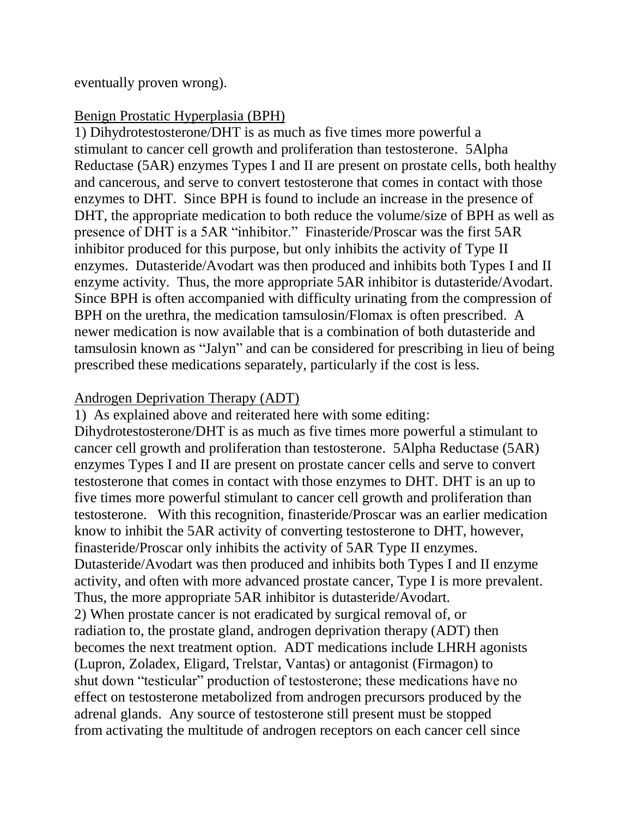eventually proven wrong).

## Benign Prostatic Hyperplasia (BPH)

1) Dihydrotestosterone/DHT is as much as five times more powerful a stimulant to cancer cell growth and proliferation than testosterone. 5Alpha Reductase (5AR) enzymes Types I and II are present on prostate cells, both healthy and cancerous, and serve to convert testosterone that comes in contact with those enzymes to DHT. Since BPH is found to include an increase in the presence of DHT, the appropriate medication to both reduce the volume/size of BPH as well as presence of DHT is a 5AR "inhibitor." Finasteride/Proscar was the first 5AR inhibitor produced for this purpose, but only inhibits the activity of Type II enzymes. Dutasteride/Avodart was then produced and inhibits both Types I and II enzyme activity. Thus, the more appropriate 5AR inhibitor is dutasteride/Avodart. Since BPH is often accompanied with difficulty urinating from the compression of BPH on the urethra, the medication tamsulosin/Flomax is often prescribed. A newer medication is now available that is a combination of both dutasteride and tamsulosin known as "Jalyn" and can be considered for prescribing in lieu of being prescribed these medications separately, particularly if the cost is less.

## Androgen Deprivation Therapy (ADT)

1) As explained above and reiterated here with some editing: Dihydrotestosterone/DHT is as much as five times more powerful a stimulant to cancer cell growth and proliferation than testosterone. 5Alpha Reductase (5AR) enzymes Types I and II are present on prostate cancer cells and serve to convert testosterone that comes in contact with those enzymes to DHT. DHT is an up to five times more powerful stimulant to cancer cell growth and proliferation than testosterone. With this recognition, finasteride/Proscar was an earlier medication know to inhibit the 5AR activity of converting testosterone to DHT, however, finasteride/Proscar only inhibits the activity of 5AR Type II enzymes. Dutasteride/Avodart was then produced and inhibits both Types I and II enzyme activity, and often with more advanced prostate cancer, Type I is more prevalent. Thus, the more appropriate 5AR inhibitor is dutasteride/Avodart. 2) When prostate cancer is not eradicated by surgical removal of, or radiation to, the prostate gland, androgen deprivation therapy (ADT) then becomes the next treatment option. ADT medications include LHRH agonists (Lupron, Zoladex, Eligard, Trelstar, Vantas) or antagonist (Firmagon) to shut down "testicular" production of testosterone; these medications have no effect on testosterone metabolized from androgen precursors produced by the adrenal glands. Any source of testosterone still present must be stopped from activating the multitude of androgen receptors on each cancer cell since